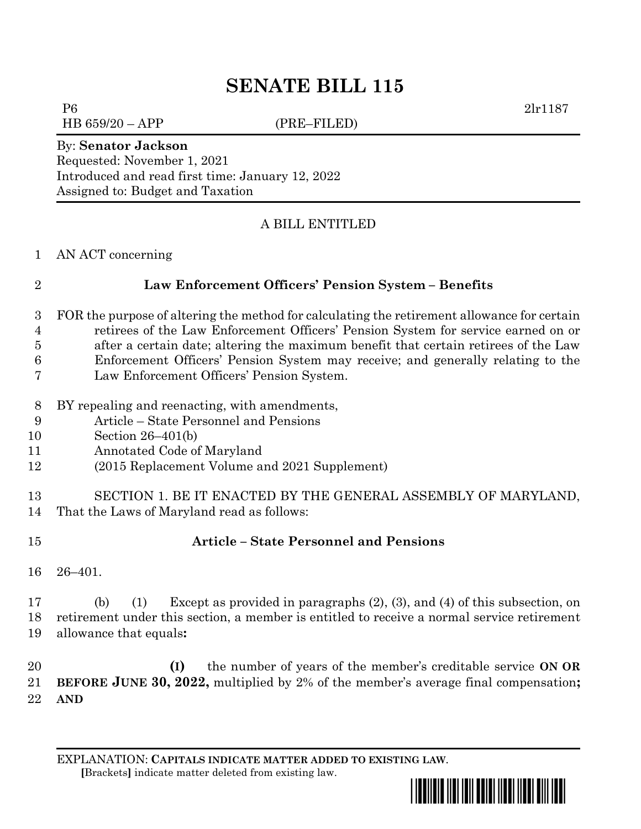# **SENATE BILL 115**

P6 2lr1187

HB 659/20 – APP (PRE–FILED)

#### By: **Senator Jackson**

Requested: November 1, 2021 Introduced and read first time: January 12, 2022 Assigned to: Budget and Taxation

### A BILL ENTITLED

#### AN ACT concerning

#### **Law Enforcement Officers' Pension System – Benefits**

 FOR the purpose of altering the method for calculating the retirement allowance for certain retirees of the Law Enforcement Officers' Pension System for service earned on or after a certain date; altering the maximum benefit that certain retirees of the Law

Enforcement Officers' Pension System may receive; and generally relating to the

- Law Enforcement Officers' Pension System.
- BY repealing and reenacting, with amendments,
- Article State Personnel and Pensions
- Section 26–401(b)
- Annotated Code of Maryland
- (2015 Replacement Volume and 2021 Supplement)

# SECTION 1. BE IT ENACTED BY THE GENERAL ASSEMBLY OF MARYLAND, That the Laws of Maryland read as follows:

# **Article – State Personnel and Pensions**

26–401.

 (b) (1) Except as provided in paragraphs (2), (3), and (4) of this subsection, on retirement under this section, a member is entitled to receive a normal service retirement allowance that equals**:**

 **(I)** the number of years of the member's creditable service **ON OR BEFORE JUNE 30, 2022,** multiplied by 2% of the member's average final compensation**; AND**